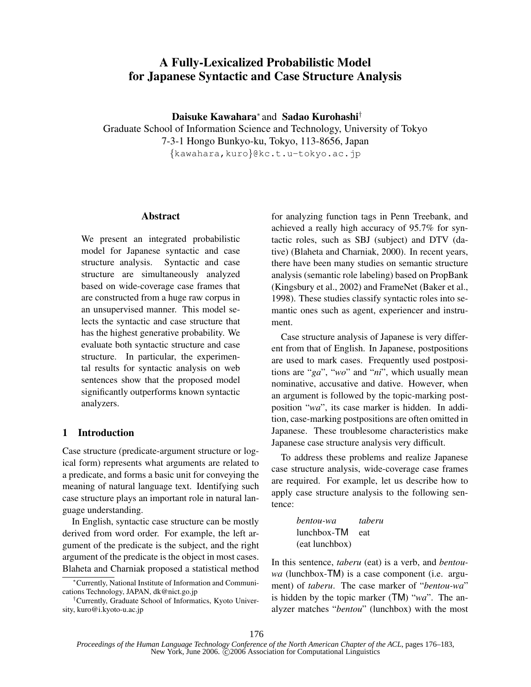# A Fully-Lexicalized Probabilistic Model for Japanese Syntactic and Case Structure Analysis

Daisuke Kawahara<sup>∗</sup> and Sadao Kurohashi†

Graduate School of Information Science and Technology, University of Tokyo 7-3-1 Hongo Bunkyo-ku, Tokyo, 113-8656, Japan {kawahara,kuro}@kc.t.u-tokyo.ac.jp

#### Abstract

We present an integrated probabilistic model for Japanese syntactic and case structure analysis. Syntactic and case structure are simultaneously analyzed based on wide-coverage case frames that are constructed from a huge raw corpus in an unsupervised manner. This model selects the syntactic and case structure that has the highest generative probability. We evaluate both syntactic structure and case structure. In particular, the experimental results for syntactic analysis on web sentences show that the proposed model significantly outperforms known syntactic analyzers.

# 1 Introduction

Case structure (predicate-argument structure or logical form) represents what arguments are related to a predicate, and forms a basic unit for conveying the meaning of natural language text. Identifying such case structure plays an important role in natural language understanding.

In English, syntactic case structure can be mostly derived from word order. For example, the left argument of the predicate is the subject, and the right argument of the predicate is the object in most cases. Blaheta and Charniak proposed a statistical method for analyzing function tags in Penn Treebank, and achieved a really high accuracy of 95.7% for syntactic roles, such as SBJ (subject) and DTV (dative) (Blaheta and Charniak, 2000). In recent years, there have been many studies on semantic structure analysis (semantic role labeling) based on PropBank (Kingsbury et al., 2002) and FrameNet (Baker et al., 1998). These studies classify syntactic roles into semantic ones such as agent, experiencer and instrument.

Case structure analysis of Japanese is very different from that of English. In Japanese, postpositions are used to mark cases. Frequently used postpositions are " $ga$ ", "wo" and "ni", which usually mean nominative, accusative and dative. However, when an argument is followed by the topic-marking postposition "wa", its case marker is hidden. In addition, case-marking postpositions are often omitted in Japanese. These troublesome characteristics make Japanese case structure analysis very difficult.

To address these problems and realize Japanese case structure analysis, wide-coverage case frames are required. For example, let us describe how to apply case structure analysis to the following sentence:

| bentou-wa      | taberu |
|----------------|--------|
| lunchbox-TM    | eat    |
| (eat lunchbox) |        |

In this sentence, taberu (eat) is a verb, and bentouwa (lunchbox-TM) is a case component (i.e. argument) of taberu. The case marker of "bentou-wa" is hidden by the topic marker  $(TM)$  "wa". The analyzer matches "bentou" (lunchbox) with the most

<sup>∗</sup>Currently, National Institute of Information and Communications Technology, JAPAN, dk@nict.go.jp

<sup>†</sup>Currently, Graduate School of Informatics, Kyoto University, kuro@i.kyoto-u.ac.jp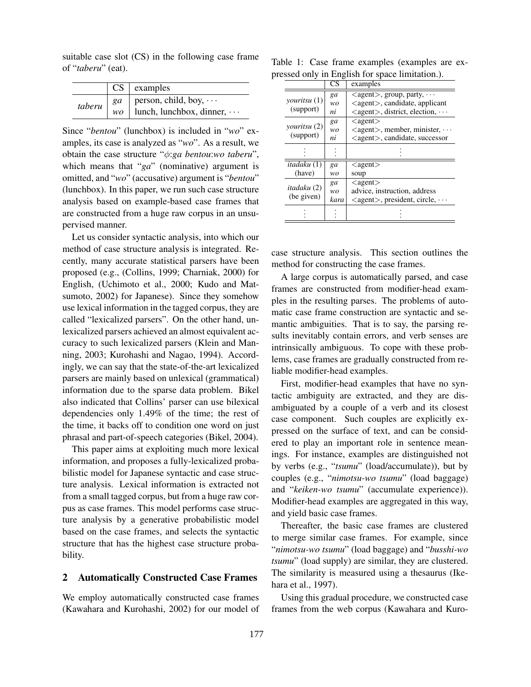suitable case slot (CS) in the following case frame of "taberu" (eat).

|  | $CS$   examples                            |
|--|--------------------------------------------|
|  | <i>taberu</i>   $ga$   person, child, boy, |
|  | $wo$   lunch, lunchbox, dinner, $\cdots$   |

Since "*bentou*" (lunchbox) is included in "wo" examples, its case is analyzed as "wo". As a result, we obtain the case structure " $\phi$ :ga bentou:wo taberu", which means that " $ga$ " (nominative) argument is omitted, and "wo" (accusative) argument is "bentou" (lunchbox). In this paper, we run such case structure analysis based on example-based case frames that are constructed from a huge raw corpus in an unsupervised manner.

Let us consider syntactic analysis, into which our method of case structure analysis is integrated. Recently, many accurate statistical parsers have been proposed (e.g., (Collins, 1999; Charniak, 2000) for English, (Uchimoto et al., 2000; Kudo and Matsumoto, 2002) for Japanese). Since they somehow use lexical information in the tagged corpus, they are called "lexicalized parsers". On the other hand, unlexicalized parsers achieved an almost equivalent accuracy to such lexicalized parsers (Klein and Manning, 2003; Kurohashi and Nagao, 1994). Accordingly, we can say that the state-of-the-art lexicalized parsers are mainly based on unlexical (grammatical) information due to the sparse data problem. Bikel also indicated that Collins' parser can use bilexical dependencies only 1.49% of the time; the rest of the time, it backs off to condition one word on just phrasal and part-of-speech categories (Bikel, 2004).

This paper aims at exploiting much more lexical information, and proposes a fully-lexicalized probabilistic model for Japanese syntactic and case structure analysis. Lexical information is extracted not from a small tagged corpus, but from a huge raw corpus as case frames. This model performs case structure analysis by a generative probabilistic model based on the case frames, and selects the syntactic structure that has the highest case structure probability.

### 2 Automatically Constructed Case Frames

We employ automatically constructed case frames (Kawahara and Kurohashi, 2002) for our model of

Table 1: Case frame examples (examples are expressed only in English for space limitation.).

|                                  | $\overline{\text{CS}}$ | examples                                                 |
|----------------------------------|------------------------|----------------------------------------------------------|
|                                  | ga                     | $\langle$ agent $\rangle$ , group, party, $\cdots$       |
| <i>vouritsu</i> (1)              | wo                     | $\langle$ agent $\rangle$ , candidate, applicant         |
| (support)                        | ni                     | $\langle$ agent $\rangle$ , district, election, $\cdots$ |
|                                  | ga                     | $\langle$ agent $\rangle$                                |
| youritsu (2)                     | wo                     | $\langle$ agent $\rangle$ , member, minister, $\cdots$   |
| (support)                        | ni                     | <agent>, candidate, successor</agent>                    |
|                                  |                        |                                                          |
|                                  |                        |                                                          |
| <i>itadaku</i> (1)               | ga                     | $\langle$ agent $\rangle$                                |
| (have)                           | wo                     | soup                                                     |
| <i>itadaku</i> (2)<br>(be given) | ga                     | $\langle$ agent $\rangle$                                |
|                                  | wo                     | advice, instruction, address                             |
|                                  | kara                   | $\langle$ agent $\rangle$ , president, circle, $\cdots$  |
|                                  |                        |                                                          |
|                                  |                        |                                                          |

case structure analysis. This section outlines the method for constructing the case frames.

A large corpus is automatically parsed, and case frames are constructed from modifier-head examples in the resulting parses. The problems of automatic case frame construction are syntactic and semantic ambiguities. That is to say, the parsing results inevitably contain errors, and verb senses are intrinsically ambiguous. To cope with these problems, case frames are gradually constructed from reliable modifier-head examples.

First, modifier-head examples that have no syntactic ambiguity are extracted, and they are disambiguated by a couple of a verb and its closest case component. Such couples are explicitly expressed on the surface of text, and can be considered to play an important role in sentence meanings. For instance, examples are distinguished not by verbs (e.g., "tsumu" (load/accumulate)), but by couples (e.g., "nimotsu-wo tsumu" (load baggage) and "keiken-wo tsumu" (accumulate experience)). Modifier-head examples are aggregated in this way, and yield basic case frames.

Thereafter, the basic case frames are clustered to merge similar case frames. For example, since "nimotsu-wo tsumu" (load baggage) and "busshi-wo tsumu" (load supply) are similar, they are clustered. The similarity is measured using a thesaurus (Ikehara et al., 1997).

Using this gradual procedure, we constructed case frames from the web corpus (Kawahara and Kuro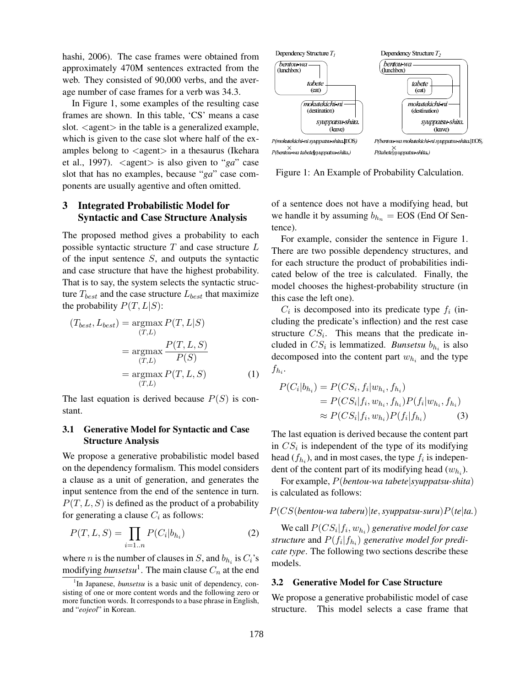hashi, 2006). The case frames were obtained from approximately 470M sentences extracted from the web. They consisted of 90,000 verbs, and the average number of case frames for a verb was 34.3.

In Figure 1, some examples of the resulting case frames are shown. In this table, 'CS' means a case slot.  $\langle$  agent $\rangle$  in the table is a generalized example, which is given to the case slot where half of the examples belong to  $\langle$ agent $\rangle$  in a thesaurus (Ikehara et al., 1997).  $\langle$  agent $\rangle$  is also given to "ga" case slot that has no examples, because "ga" case components are usually agentive and often omitted.

# 3 Integrated Probabilistic Model for Syntactic and Case Structure Analysis

The proposed method gives a probability to each possible syntactic structure  $T$  and case structure  $L$ of the input sentence  $S$ , and outputs the syntactic and case structure that have the highest probability. That is to say, the system selects the syntactic structure  $T_{best}$  and the case structure  $L_{best}$  that maximize the probability  $P(T, L|S)$ :

$$
(T_{best}, L_{best}) = \underset{(T,L)}{\operatorname{argmax}} P(T, L|S)
$$

$$
= \underset{(T,L)}{\operatorname{argmax}} \frac{P(T, L, S)}{P(S)}
$$

$$
= \underset{(T,L)}{\operatorname{argmax}} P(T, L, S) \tag{1}
$$

The last equation is derived because  $P(S)$  is constant.

### 3.1 Generative Model for Syntactic and Case Structure Analysis

We propose a generative probabilistic model based on the dependency formalism. This model considers a clause as a unit of generation, and generates the input sentence from the end of the sentence in turn.  $P(T, L, S)$  is defined as the product of a probability for generating a clause  $C_i$  as follows:

$$
P(T, L, S) = \prod_{i=1..n} P(C_i | b_{h_i})
$$
 (2)

where *n* is the number of clauses in *S*, and  $b_{h_i}$  is  $C_i$ 's modifying  $\mathit{bunsetsu}^1$ . The main clause  $C_n$  at the end



Figure 1: An Example of Probability Calculation.

of a sentence does not have a modifying head, but we handle it by assuming  $b_{h_n} =$  EOS (End Of Sentence).

For example, consider the sentence in Figure 1. There are two possible dependency structures, and for each structure the product of probabilities indicated below of the tree is calculated. Finally, the model chooses the highest-probability structure (in this case the left one).

 $C_i$  is decomposed into its predicate type  $f_i$  (including the predicate's inflection) and the rest case structure  $CS_i$ . This means that the predicate included in  $CS_i$  is lemmatized. *Bunsetsu*  $b_{h_i}$  is also decomposed into the content part  $w_{h_i}$  and the type  $f_{h_i}$ .

$$
P(C_i|b_{h_i}) = P(CS_i, f_i|w_{h_i}, f_{h_i})
$$
  
= 
$$
P(CS_i|f_i, w_{h_i}, f_{h_i}) P(f_i|w_{h_i}, f_{h_i})
$$
  

$$
\approx P(CS_i|f_i, w_{h_i}) P(f_i|f_{h_i})
$$
 (3)

The last equation is derived because the content part in  $CS_i$  is independent of the type of its modifying head  $(f_{h_i})$ , and in most cases, the type  $f_i$  is independent of the content part of its modifying head  $(w_{h_i})$ .

For example, P(bentou-wa tabete|syuppatsu-shita) is calculated as follows:

$$
P(CS(bentou-wa taberu)|te, syuppatsu-suru)P(te|ta.)
$$

We call  $P(CS_i|f_i, w_{h_i})$  generative model for case structure and  $P(f_i|f_{h_i})$  generative model for predicate type. The following two sections describe these models.

### 3.2 Generative Model for Case Structure

We propose a generative probabilistic model of case structure. This model selects a case frame that

<sup>&</sup>lt;sup>1</sup>In Japanese, *bunsetsu* is a basic unit of dependency, consisting of one or more content words and the following zero or more function words. It corresponds to a base phrase in English, and "eojeol" in Korean.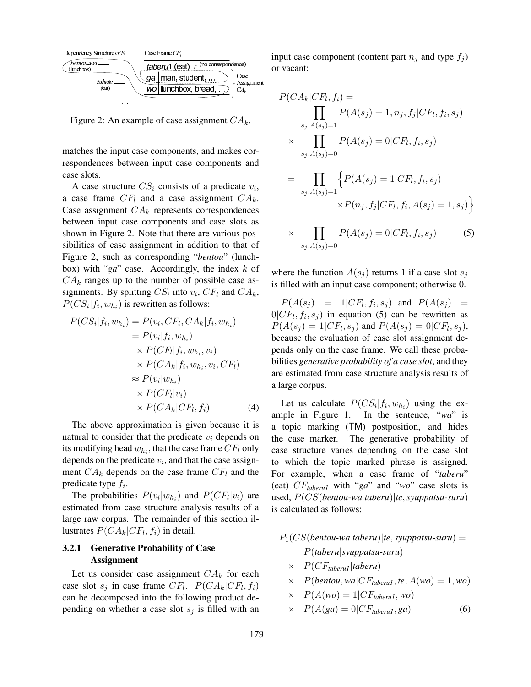

Figure 2: An example of case assignment  $CA_k$ .

matches the input case components, and makes correspondences between input case components and case slots.

A case structure  $CS_i$  consists of a predicate  $v_i$ , a case frame  $CF_l$  and a case assignment  $CA_k$ . Case assignment  $CA_k$  represents correspondences between input case components and case slots as shown in Figure 2. Note that there are various possibilities of case assignment in addition to that of Figure 2, such as corresponding "bentou" (lunchbox) with " $ga$ " case. Accordingly, the index  $k$  of  $CA_k$  ranges up to the number of possible case assignments. By splitting  $CS_i$  into  $v_i$ ,  $CF_l$  and  $CA_k$ ,  $P(CS_i|f_i, w_{h_i})$  is rewritten as follows:

$$
P(CS_i|f_i, w_{h_i}) = P(v_i, CF_l, CA_k|f_i, w_{h_i})
$$
  
\n
$$
= P(v_i|f_i, w_{h_i})
$$
  
\n
$$
\times P(CF_l|f_i, w_{h_i}, v_i)
$$
  
\n
$$
\times P(CA_k|f_i, w_{h_i}, v_i, CF_l)
$$
  
\n
$$
\approx P(v_i|w_{h_i})
$$
  
\n
$$
\times P(CF_l|v_i)
$$
  
\n
$$
\times P(CA_k|CF_l, f_i)
$$
\n(4)

The above approximation is given because it is natural to consider that the predicate  $v_i$  depends on its modifying head  $w_{h_i}$ , that the case frame  $CF_l$  only depends on the predicate  $v_i$ , and that the case assignment  $CA_k$  depends on the case frame  $CF_l$  and the predicate type  $f_i$ .

The probabilities  $P(v_i|w_{h_i})$  and  $P(CF_l|v_i)$  are estimated from case structure analysis results of a large raw corpus. The remainder of this section illustrates  $P(CA_k|CF_l, f_i)$  in detail.

## 3.2.1 Generative Probability of Case Assignment

Let us consider case assignment  $CA_k$  for each case slot  $s_j$  in case frame  $CF_l$ .  $P(CA_k|CF_l, f_i)$ can be decomposed into the following product depending on whether a case slot  $s_i$  is filled with an input case component (content part  $n_j$  and type  $f_j$ ) or vacant:

$$
P(CA_k|CF_l, f_i) = \prod_{s_j:A(s_j)=1} P(A(s_j) = 1, n_j, f_j|CF_l, f_i, s_j)
$$
  
\n
$$
\times \prod_{s_j:A(s_j)=0} P(A(s_j) = 0|CF_l, f_i, s_j)
$$
  
\n
$$
= \prod_{s_j:A(s_j)=1} \{ P(A(s_j) = 1|CF_l, f_i, s_j)
$$
  
\n
$$
\times P(n_j, f_j|CF_l, f_i, A(s_j) = 1, s_j) \}
$$
  
\n
$$
\times \prod_{s_j:A(s_j)=0} P(A(s_j) = 0|CF_l, f_i, s_j)
$$
 (5)

where the function  $A(s_i)$  returns 1 if a case slot  $s_i$ is filled with an input case component; otherwise 0.

 $P(A(s_j) = 1|CF_l, f_i, s_j)$  and  $P(A(s_j) =$  $0|CF_l, f_i, s_j)$  in equation (5) can be rewritten as  $P(A(s_j) = 1 | CF_l, s_j)$  and  $P(A(s_j) = 0 | CF_l, s_j)$ , because the evaluation of case slot assignment depends only on the case frame. We call these probabilities generative probability of a case slot, and they are estimated from case structure analysis results of a large corpus.

Let us calculate  $P(CS_i|f_i,w_{h_i})$  using the example in Figure 1. In the sentence, "wa" is a topic marking (TM) postposition, and hides the case marker. The generative probability of case structure varies depending on the case slot to which the topic marked phrase is assigned. For example, when a case frame of "taberu" (eat)  $CF_{taberul}$  with "ga" and "wo" case slots is used,  $P(CS(bentou-wa taberu)|te, syuppatsu-suru)$ is calculated as follows:

- $P_1(CS(bentou-wa taberu)|te, syuppatsu-suru) =$ P(taberu|syuppatsu-suru)
	- $\times$   $P(CF_{\text{taberul}}|\text{taberu})$
	- $\times$  P(bentou, wa|CF<sub>taberu1</sub>, te, A(wo) = 1, wo)
	- $\times$   $P(A(wo) = 1|CF_{\text{taberul}},wo)$
	- $\times$   $P(A(ga) = 0|CF_{\text{taberul}}, ga)$  (6)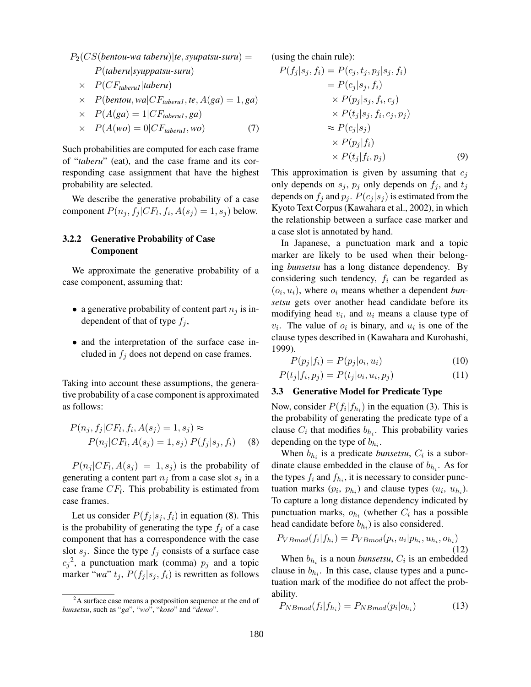$P_2(CS(bentou-wa taberu)|te, syupatsu-suru) =$ P(taberu|syuppatsu-suru)

- $\times$   $P(CF_{\text{taberul}}|\text{taberu})$
- $\times$  P(bentou, wa|CF<sub>taberu1</sub>, te, A(ga) = 1, ga)
- $\times$   $P(A(ga) = 1|CF_{\text{taberul}}, ga)$

$$
\times \quad P(A(wo) = 0|CF_{\text{taberul}},wo) \tag{7}
$$

Such probabilities are computed for each case frame of "taberu" (eat), and the case frame and its corresponding case assignment that have the highest probability are selected.

We describe the generative probability of a case component  $P(n_j, f_j | CF_l, f_i, A(s_j) = 1, s_j)$  below.

# 3.2.2 Generative Probability of Case Component

We approximate the generative probability of a case component, assuming that:

- a generative probability of content part  $n_i$  is independent of that of type  $f_i$ ,
- and the interpretation of the surface case included in  $f_j$  does not depend on case frames.

Taking into account these assumptions, the generative probability of a case component is approximated as follows:

$$
P(n_j, f_j|CF_l, f_i, A(s_j) = 1, s_j) \approx
$$
  
 
$$
P(n_j|CF_l, A(s_j) = 1, s_j) P(f_j|s_j, f_i)
$$
 (8)

 $P(n_j | CF_l, A(s_j) = 1, s_j)$  is the probability of generating a content part  $n_i$  from a case slot  $s_i$  in a case frame  $CF_l$ . This probability is estimated from case frames.

Let us consider  $P(f_i | s_i, f_i)$  in equation (8). This is the probability of generating the type  $f_i$  of a case component that has a correspondence with the case slot  $s_j$ . Since the type  $f_j$  consists of a surface case  $c_j^2$ , a punctuation mark (comma)  $p_j$  and a topic marker "wa"  $t_j$ ,  $P(f_j | s_j, f_i)$  is rewritten as follows (using the chain rule):

$$
P(f_j|s_j, f_i) = P(c_j, t_j, p_j|s_j, f_i)
$$
  
\n
$$
= P(c_j|s_j, f_i)
$$
  
\n
$$
\times P(p_j|s_j, f_i, c_j)
$$
  
\n
$$
\times P(t_j|s_j, f_i, c_j, p_j)
$$
  
\n
$$
\approx P(c_j|s_j)
$$
  
\n
$$
\times P(p_j|f_i)
$$
  
\n
$$
\times P(t_j|f_i, p_j)
$$
\n(9)

This approximation is given by assuming that  $c_i$ only depends on  $s_j$ ,  $p_j$  only depends on  $f_j$ , and  $t_j$ depends on  $f_j$  and  $p_j$ .  $P(c_j | s_j)$  is estimated from the Kyoto Text Corpus (Kawahara et al., 2002), in which the relationship between a surface case marker and a case slot is annotated by hand.

In Japanese, a punctuation mark and a topic marker are likely to be used when their belonging bunsetsu has a long distance dependency. By considering such tendency,  $f_i$  can be regarded as  $(o_i, u_i)$ , where  $o_i$  means whether a dependent bunsetsu gets over another head candidate before its modifying head  $v_i$ , and  $u_i$  means a clause type of  $v_i$ . The value of  $o_i$  is binary, and  $u_i$  is one of the clause types described in (Kawahara and Kurohashi, 1999).

$$
P(p_j|f_i) = P(p_j|o_i, u_i)
$$
\n<sup>(10)</sup>

$$
P(t_j|f_i, p_j) = P(t_j|o_i, u_i, p_j)
$$
\n
$$
(11)
$$

#### 3.3 Generative Model for Predicate Type

Now, consider  $P(f_i|f_{h_i})$  in the equation (3). This is the probability of generating the predicate type of a clause  $C_i$  that modifies  $b_{h_i}$ . This probability varies depending on the type of  $b_{h_i}$ .

When  $b_{h_i}$  is a predicate *bunsetsu*,  $C_i$  is a subordinate clause embedded in the clause of  $b_{h_i}$ . As for the types  $f_i$  and  $f_{h_i}$ , it is necessary to consider punctuation marks  $(p_i, p_{h_i})$  and clause types  $(u_i, u_{h_i})$ . To capture a long distance dependency indicated by punctuation marks,  $o_{h_i}$  (whether  $C_i$  has a possible head candidate before  $b_{h_i}$ ) is also considered.

$$
P_{VBmod}(f_i|f_{h_i}) = P_{VBmod}(p_i, u_i|p_{h_i}, u_{h_i}, o_{h_i})
$$
\n(12)

When  $b_{h_i}$  is a noun *bunsetsu*,  $C_i$  is an embedded clause in  $b_{h_i}$ . In this case, clause types and a punctuation mark of the modifiee do not affect the probability.

$$
P_{NBmod}(f_i|f_{h_i}) = P_{NBmod}(p_i|o_{h_i})
$$
\n(13)

<sup>&</sup>lt;sup>2</sup>A surface case means a postposition sequence at the end of bunsetsu, such as "ga", "wo", "koso" and "demo".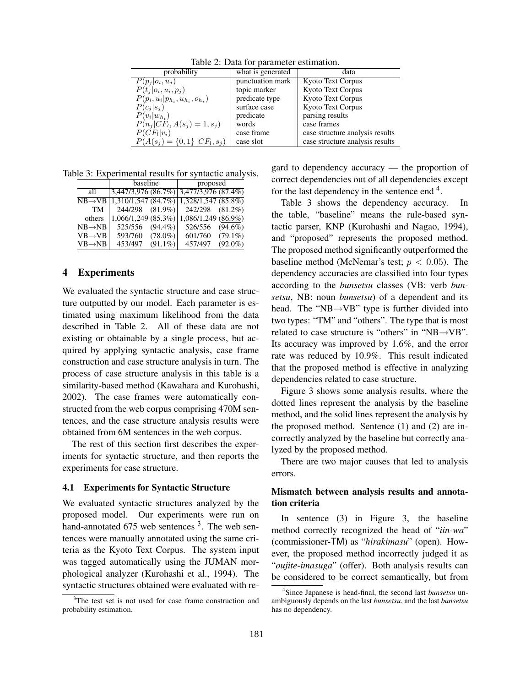Table 2: Data for parameter estimation.

| probability                               | what is generated | data                            |
|-------------------------------------------|-------------------|---------------------------------|
| $P(p_i o_i,u_i)$                          | punctuation mark  | <b>Kyoto Text Corpus</b>        |
| $P(t_i o_i, u_i, p_i)$                    | topic marker      | Kyoto Text Corpus               |
| $P(p_i, u_i   p_{h_i}, u_{h_i}, o_{h_i})$ | predicate type    | Kyoto Text Corpus               |
| $P(c_i s_i)$                              | surface case      | Kyoto Text Corpus               |
| $P(v_i w_{h_i})$                          | predicate         | parsing results                 |
| $P(n_i CF_l, A(s_i) = 1, s_i)$            | words             | case frames                     |
| $P(CF_l v_i)$                             | case frame        | case structure analysis results |
| $P(A(s_j) = \{0,1\}   CF_l, s_j)$         | case slot         | case structure analysis results |

Table 3: Experimental results for syntactic analysis.

|                     | baseline              | proposed                                                   |
|---------------------|-----------------------|------------------------------------------------------------|
| all                 |                       | $3,447/3,976$ $(86.7%)$ $\overline{)3,477/3,976$ $(87.4%)$ |
| $NB \rightarrow VB$ |                       | $1,310/1,547(84.7%)$ $1,328/1,547(85.8%)$                  |
| <b>TM</b>           | 244/298 (81.9%)       | 242/298 (81.2%)                                            |
| others              | 1,066/1,249(85.3%)    | 1,086/1,249 (86.9%)                                        |
| $NB \rightarrow NB$ | 525/556<br>$(94.4\%)$ | 526/556<br>$(94.6\%)$                                      |
| $VB \rightarrow VB$ | 593/760<br>$(78.0\%)$ | 601/760<br>$(79.1\%)$                                      |
| $VB \rightarrow NB$ | 453/497<br>$(91.1\%)$ | $(92.0\%)$<br>457/497                                      |

#### 4 Experiments

We evaluated the syntactic structure and case structure outputted by our model. Each parameter is estimated using maximum likelihood from the data described in Table 2. All of these data are not existing or obtainable by a single process, but acquired by applying syntactic analysis, case frame construction and case structure analysis in turn. The process of case structure analysis in this table is a similarity-based method (Kawahara and Kurohashi, 2002). The case frames were automatically constructed from the web corpus comprising 470M sentences, and the case structure analysis results were obtained from 6M sentences in the web corpus.

The rest of this section first describes the experiments for syntactic structure, and then reports the experiments for case structure.

#### 4.1 Experiments for Syntactic Structure

We evaluated syntactic structures analyzed by the proposed model. Our experiments were run on hand-annotated  $675$  web sentences  $3$ . The web sentences were manually annotated using the same criteria as the Kyoto Text Corpus. The system input was tagged automatically using the JUMAN morphological analyzer (Kurohashi et al., 1994). The syntactic structures obtained were evaluated with regard to dependency accuracy — the proportion of correct dependencies out of all dependencies except for the last dependency in the sentence end <sup>4</sup>.

Table 3 shows the dependency accuracy. In the table, "baseline" means the rule-based syntactic parser, KNP (Kurohashi and Nagao, 1994), and "proposed" represents the proposed method. The proposed method significantly outperformed the baseline method (McNemar's test;  $p < 0.05$ ). The dependency accuracies are classified into four types according to the bunsetsu classes (VB: verb bunsetsu, NB: noun *bunsetsu*) of a dependent and its head. The "NB $\rightarrow$ VB" type is further divided into two types: "TM" and "others". The type that is most related to case structure is "others" in "NB $\rightarrow$ VB". Its accuracy was improved by 1.6%, and the error rate was reduced by 10.9%. This result indicated that the proposed method is effective in analyzing dependencies related to case structure.

Figure 3 shows some analysis results, where the dotted lines represent the analysis by the baseline method, and the solid lines represent the analysis by the proposed method. Sentence (1) and (2) are incorrectly analyzed by the baseline but correctly analyzed by the proposed method.

There are two major causes that led to analysis errors.

# Mismatch between analysis results and annotation criteria

In sentence (3) in Figure 3, the baseline method correctly recognized the head of "*iin-wa*" (commissioner-TM) as "hirakimasu" (open). However, the proposed method incorrectly judged it as "oujite-imasuga" (offer). Both analysis results can be considered to be correct semantically, but from

<sup>&</sup>lt;sup>3</sup>The test set is not used for case frame construction and probability estimation.

<sup>&</sup>lt;sup>4</sup>Since Japanese is head-final, the second last *bunsetsu* unambiguously depends on the last bunsetsu, and the last bunsetsu has no dependency.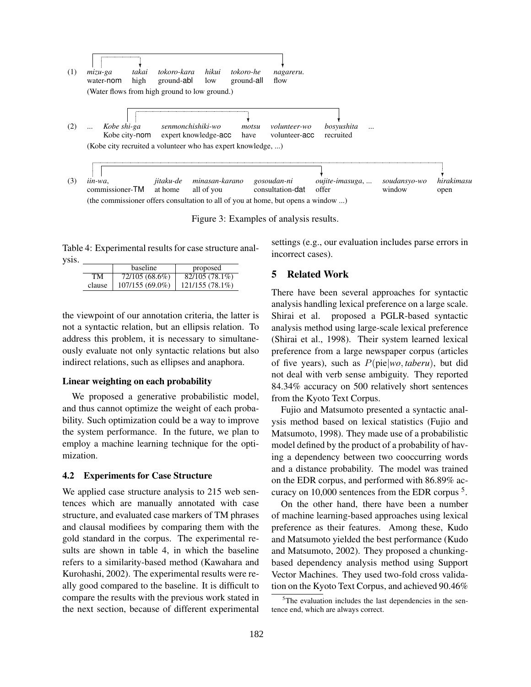

Figure 3: Examples of analysis results.

Table 4: Experimental results for case structure analysis.

|        | <b>baseline</b> | proposed       |
|--------|-----------------|----------------|
| TM     | 72/105 (68.6%)  | 82/105 (78.1%) |
| clause | 107/155 (69.0%) | 121/155(78.1%) |

the viewpoint of our annotation criteria, the latter is not a syntactic relation, but an ellipsis relation. To address this problem, it is necessary to simultaneously evaluate not only syntactic relations but also indirect relations, such as ellipses and anaphora.

#### Linear weighting on each probability

We proposed a generative probabilistic model, and thus cannot optimize the weight of each probability. Such optimization could be a way to improve the system performance. In the future, we plan to employ a machine learning technique for the optimization.

#### 4.2 Experiments for Case Structure

We applied case structure analysis to 215 web sentences which are manually annotated with case structure, and evaluated case markers of TM phrases and clausal modifiees by comparing them with the gold standard in the corpus. The experimental results are shown in table 4, in which the baseline refers to a similarity-based method (Kawahara and Kurohashi, 2002). The experimental results were really good compared to the baseline. It is difficult to compare the results with the previous work stated in the next section, because of different experimental settings (e.g., our evaluation includes parse errors in incorrect cases).

### 5 Related Work

There have been several approaches for syntactic analysis handling lexical preference on a large scale. Shirai et al. proposed a PGLR-based syntactic analysis method using large-scale lexical preference (Shirai et al., 1998). Their system learned lexical preference from a large newspaper corpus (articles of five years), such as  $P(\text{pie}|wo, \text{taberu})$ , but did not deal with verb sense ambiguity. They reported 84.34% accuracy on 500 relatively short sentences from the Kyoto Text Corpus.

Fujio and Matsumoto presented a syntactic analysis method based on lexical statistics (Fujio and Matsumoto, 1998). They made use of a probabilistic model defined by the product of a probability of having a dependency between two cooccurring words and a distance probability. The model was trained on the EDR corpus, and performed with 86.89% accuracy on 10,000 sentences from the EDR corpus<sup>5</sup>.

On the other hand, there have been a number of machine learning-based approaches using lexical preference as their features. Among these, Kudo and Matsumoto yielded the best performance (Kudo and Matsumoto, 2002). They proposed a chunkingbased dependency analysis method using Support Vector Machines. They used two-fold cross validation on the Kyoto Text Corpus, and achieved 90.46%

 $5$ The evaluation includes the last dependencies in the sentence end, which are always correct.